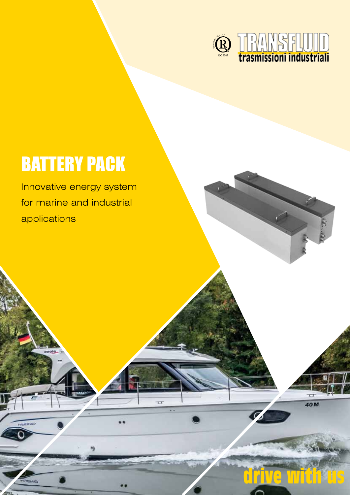

**drive with us**

 $\overline{ }$ 40M

## BATTERY PACK

Innovative energy system for marine and industrial applications

**HARRY**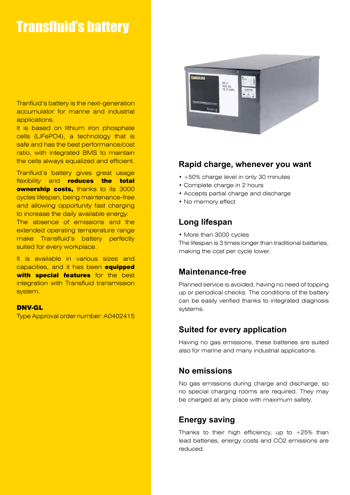## Transfluid's battery

Tranfluid's battery is the next-generation accumulator for marine and industrial applications.

It is based on lithium iron phosphate cells (LiFePO4), a technology that is safe and has the best performance/cost ratio, with integrated BMS to maintain the cells always equalized and efficient.

Tranfluid's battery gives great usage flexibility and reduces the total **ownership costs, thanks to its 3000** cycles lifespan, being maintenance-free and allowing opportunity fast charging to increase the daily available energy. The absence of emissions and the extended operating temperature range make Transfluid's battery perfectly suited for every workplace.

It is available in various sizes and capacities, and it has been equipped with special features for the best integration with Transfluid transmission system.

#### DNV-GL

Type Approval order number: A0402415



#### **Rapid charge, whenever you want**

- +50% charge level in only 30 minutes
- Complete charge in 2 hours
- Accepts partial charge and discharge
- No memory effect

#### **Long lifespan**

• More than 3000 cycles

The lifespan is 3 times longer than traditional batteries, making the cost per cycle lower.

#### **Maintenance-free**

Planned service is avoided, having no need of topping up or periodical checks. The conditions of the battery can be easily verified thanks to integrated diagnosis systems.

#### **Suited for every application**

Having no gas emissions, these batteries are suited also for marine and many industrial applications.

#### **No emissions**

No gas emissions during charge and discharge, so no special charging rooms are required. They may be charged at any place with maximum safety.

### **Energy saving**

Thanks to their high efficiency, up to  $+25%$  than lead batteries, energy costs and CO2 emissions are reduced.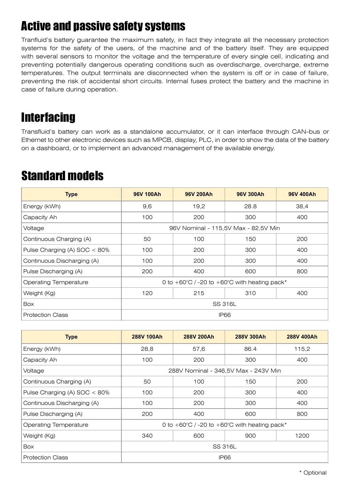## Active and passive safety systems

Tranfluid's battery guarantee the maximum safety, in fact they integrate all the necessary protection systems for the safety of the users, of the machine and of the battery itself. They are equipped with several sensors to monitor the voltage and the temperature of every single cell, indicating and preventing potentially dangerous operating conditions such as overdischarge, overcharge, extreme temperatures. The output terminals are disconnected when the system is off or in case of failure, preventing the risk of accidental short circuits. Internal fuses protect the battery and the machine in case of failure during operation.

### **Interfacing**

Transfluid's battery can work as a standalone accumulator, or it can interface through CAN-bus or Ethernet to other electronic devices such as MPCB, display, PLC, in order to show the data of the battery on a dashboard, or to implement an advanced management of the available energy.

### Standard models

| <b>Type</b>                     | 96V 100Ah                                                        | 96V 200Ah | 96V 300Ah | 96V 400Ah |  |
|---------------------------------|------------------------------------------------------------------|-----------|-----------|-----------|--|
| Energy (kWh)                    | 9,6                                                              | 19,2      | 28.8      | 38,4      |  |
| Capacity Ah                     | 100                                                              | 200       | 300       | 400       |  |
| Voltage                         | 96V Nominal - 115,5V Max - 82,5V Min                             |           |           |           |  |
| Continuous Charging (A)         | 50                                                               | 100       | 150       | 200       |  |
| Pulse Charging (A) $SOC < 80\%$ | 100                                                              | 200       | 300       | 400       |  |
| Continuous Discharging (A)      | 100                                                              | 200       | 300       | 400       |  |
| Pulse Discharging (A)           | 200                                                              | 400       | 600       | 800       |  |
| <b>Operating Temperature</b>    | 0 to $+60^{\circ}$ C / -20 to $+60^{\circ}$ C with heating pack* |           |           |           |  |
| Weight (Kg)                     | 120                                                              | 215       | 310       | 400       |  |
| <b>Box</b>                      | SS 316L                                                          |           |           |           |  |
| <b>Protection Class</b>         | <b>IP66</b>                                                      |           |           |           |  |

| <b>Type</b>                  | 288V 100Ah                                                       | 288V 200Ah | 288V 300Ah | 288V 400Ah |  |
|------------------------------|------------------------------------------------------------------|------------|------------|------------|--|
| Energy (kWh)                 | 28,8                                                             | 57,6       | 86.4       | 115,2      |  |
| Capacity Ah                  | 100                                                              | 200        | 300        | 400        |  |
| Voltage                      | 288V Nominal - 346,5V Max - 243V Min                             |            |            |            |  |
| Continuous Charging (A)      | 50                                                               | 100        | 150        | 200        |  |
| Pulse Charging (A) SOC < 80% | 100                                                              | 200        | 300        | 400        |  |
| Continuous Discharging (A)   | 100                                                              | 200        | 300        | 400        |  |
| Pulse Discharging (A)        | 200                                                              | 400        | 600        | 800        |  |
| <b>Operating Temperature</b> | 0 to $+60^{\circ}$ C / -20 to $+60^{\circ}$ C with heating pack* |            |            |            |  |
| Weight (Kg)                  | 340                                                              | 600        | 900        | 1200       |  |
| <b>Box</b>                   | SS 316L                                                          |            |            |            |  |
| <b>Protection Class</b>      | <b>IP66</b>                                                      |            |            |            |  |